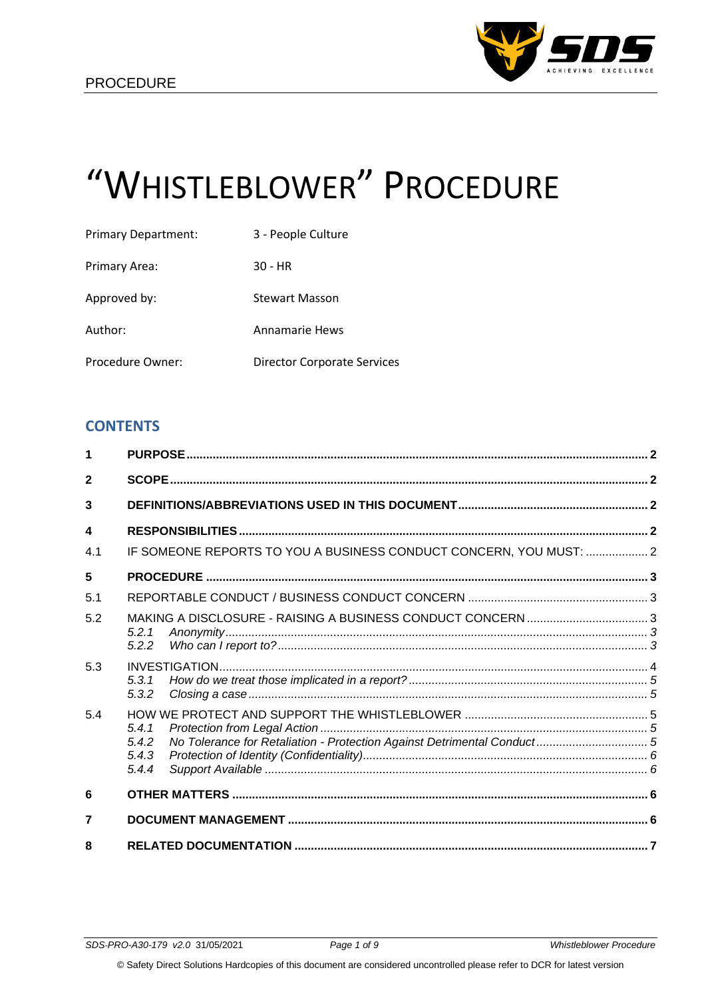

# "WHISTLEBLOWER" PROCEDURE

| <b>Primary Department:</b> | 3 - People Culture                 |
|----------------------------|------------------------------------|
| Primary Area:              | 30 - HR                            |
| Approved by:               | <b>Stewart Masson</b>              |
| Author:                    | <b>Annamarie Hews</b>              |
| Procedure Owner:           | <b>Director Corporate Services</b> |

# **CONTENTS**

| 1                |                                                                    |  |
|------------------|--------------------------------------------------------------------|--|
| $\overline{2}$   |                                                                    |  |
| 3                |                                                                    |  |
| $\boldsymbol{4}$ |                                                                    |  |
| 4.1              | IF SOMEONE REPORTS TO YOU A BUSINESS CONDUCT CONCERN, YOU MUST:  2 |  |
| 5                |                                                                    |  |
| 5.1              |                                                                    |  |
| 5.2              | 5.2.1<br>5.2.2                                                     |  |
| 5.3              | 5.3.1<br>5.3.2                                                     |  |
| 5.4              | 5.4.1<br>5.4.2<br>5.4.3<br>5.4.4                                   |  |
| 6                |                                                                    |  |
| $\overline{7}$   |                                                                    |  |
| 8                |                                                                    |  |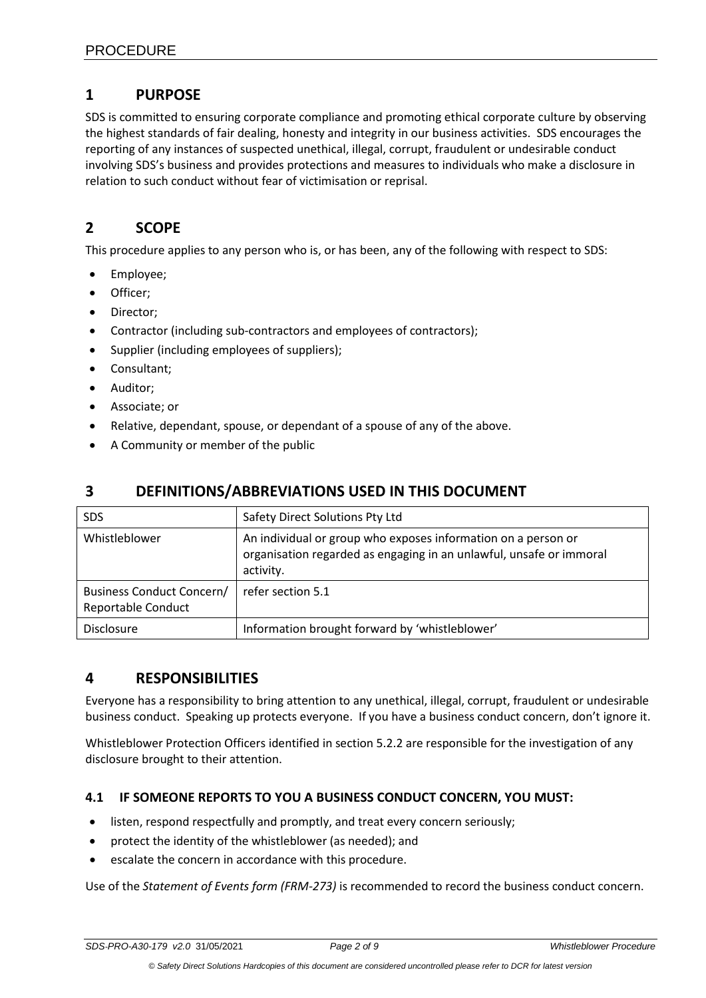# <span id="page-1-0"></span>**1 PURPOSE**

SDS is committed to ensuring corporate compliance and promoting ethical corporate culture by observing the highest standards of fair dealing, honesty and integrity in our business activities. SDS encourages the reporting of any instances of suspected unethical, illegal, corrupt, fraudulent or undesirable conduct involving SDS's business and provides protections and measures to individuals who make a disclosure in relation to such conduct without fear of victimisation or reprisal.

# <span id="page-1-1"></span>**2 SCOPE**

This procedure applies to any person who is, or has been, any of the following with respect to SDS:

- Employee;
- Officer;
- Director;
- Contractor (including sub-contractors and employees of contractors);
- Supplier (including employees of suppliers);
- Consultant;
- Auditor;
- Associate; or
- Relative, dependant, spouse, or dependant of a spouse of any of the above.
- <span id="page-1-2"></span>• A Community or member of the public

# **3 DEFINITIONS/ABBREVIATIONS USED IN THIS DOCUMENT**

| <b>SDS</b>                                                    | Safety Direct Solutions Pty Ltd                                                                                                                   |
|---------------------------------------------------------------|---------------------------------------------------------------------------------------------------------------------------------------------------|
| Whistleblower                                                 | An individual or group who exposes information on a person or<br>organisation regarded as engaging in an unlawful, unsafe or immoral<br>activity. |
| <b>Business Conduct Concern/</b><br><b>Reportable Conduct</b> | refer section 5.1                                                                                                                                 |
| <b>Disclosure</b>                                             | Information brought forward by 'whistleblower'                                                                                                    |

# <span id="page-1-3"></span>**4 RESPONSIBILITIES**

Everyone has a responsibility to bring attention to any unethical, illegal, corrupt, fraudulent or undesirable business conduct. Speaking up protects everyone. If you have a business conduct concern, don't ignore it.

Whistleblower Protection Officers identified in section 5.2.2 are responsible for the investigation of any disclosure brought to their attention.

# <span id="page-1-4"></span>**4.1 IF SOMEONE REPORTS TO YOU A BUSINESS CONDUCT CONCERN, YOU MUST:**

- listen, respond respectfully and promptly, and treat every concern seriously;
- protect the identity of the whistleblower (as needed); and
- escalate the concern in accordance with this procedure.

Use of the *Statement of Events form (FRM-273)* is recommended to record the business conduct concern.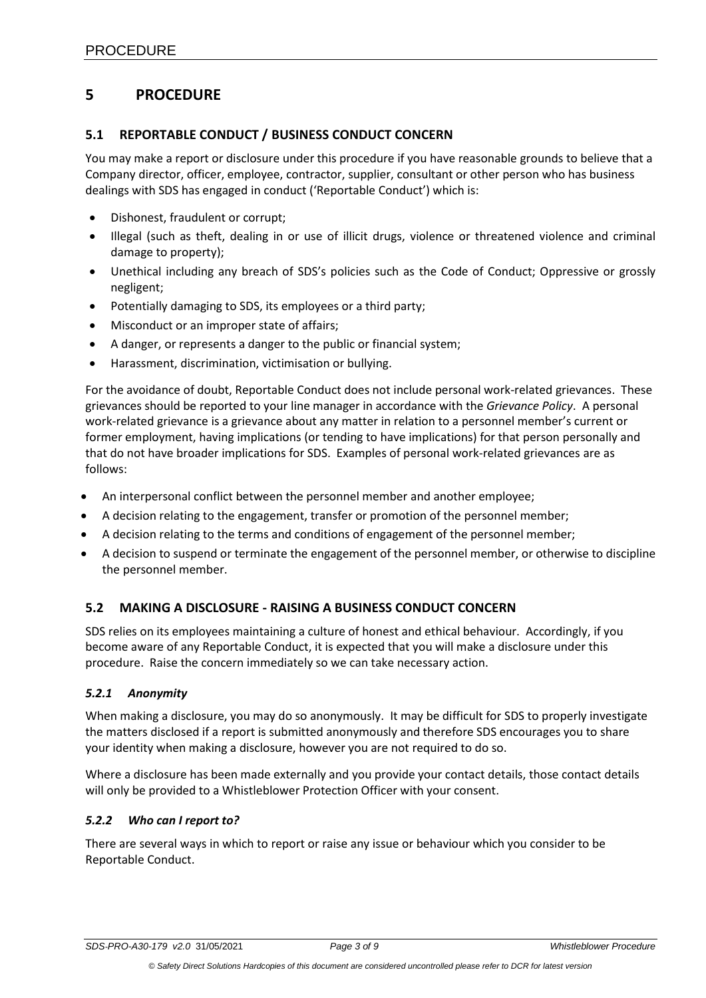# <span id="page-2-0"></span>**5 PROCEDURE**

### <span id="page-2-1"></span>**5.1 REPORTABLE CONDUCT / BUSINESS CONDUCT CONCERN**

You may make a report or disclosure under this procedure if you have reasonable grounds to believe that a Company director, officer, employee, contractor, supplier, consultant or other person who has business dealings with SDS has engaged in conduct ('Reportable Conduct') which is:

- Dishonest, fraudulent or corrupt;
- Illegal (such as theft, dealing in or use of illicit drugs, violence or threatened violence and criminal damage to property);
- Unethical including any breach of SDS's policies such as the Code of Conduct; Oppressive or grossly negligent;
- Potentially damaging to SDS, its employees or a third party;
- Misconduct or an improper state of affairs;
- A danger, or represents a danger to the public or financial system;
- Harassment, discrimination, victimisation or bullying.

For the avoidance of doubt, Reportable Conduct does not include personal work-related grievances. These grievances should be reported to your line manager in accordance with the *Grievance Policy*. A personal work-related grievance is a grievance about any matter in relation to a personnel member's current or former employment, having implications (or tending to have implications) for that person personally and that do not have broader implications for SDS. Examples of personal work-related grievances are as follows:

- An interpersonal conflict between the personnel member and another employee;
- A decision relating to the engagement, transfer or promotion of the personnel member;
- A decision relating to the terms and conditions of engagement of the personnel member;
- A decision to suspend or terminate the engagement of the personnel member, or otherwise to discipline the personnel member.

# <span id="page-2-2"></span>**5.2 MAKING A DISCLOSURE - RAISING A BUSINESS CONDUCT CONCERN**

SDS relies on its employees maintaining a culture of honest and ethical behaviour. Accordingly, if you become aware of any Reportable Conduct, it is expected that you will make a disclosure under this procedure. Raise the concern immediately so we can take necessary action.

### <span id="page-2-3"></span>*5.2.1 Anonymity*

When making a disclosure, you may do so anonymously. It may be difficult for SDS to properly investigate the matters disclosed if a report is submitted anonymously and therefore SDS encourages you to share your identity when making a disclosure, however you are not required to do so.

Where a disclosure has been made externally and you provide your contact details, those contact details will only be provided to a Whistleblower Protection Officer with your consent.

### <span id="page-2-4"></span>*5.2.2 Who can I report to?*

There are several ways in which to report or raise any issue or behaviour which you consider to be Reportable Conduct.

*SDS-PRO-A30-179 v2.0* 31/05/2021 *Page 3 of 9 Whistleblower Procedure*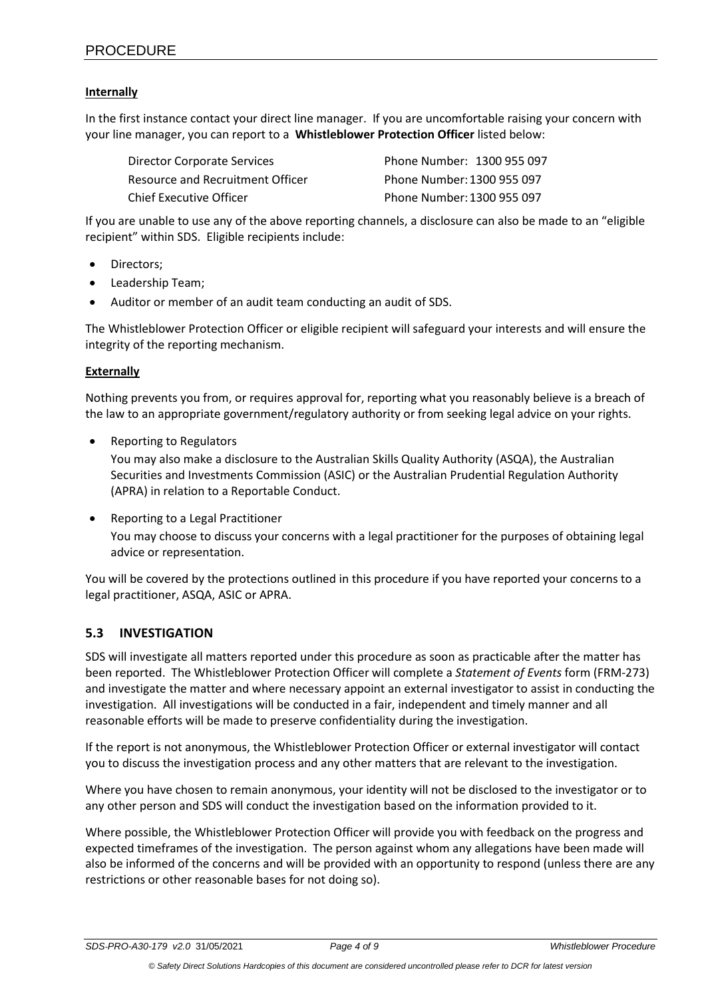### **Internally**

In the first instance contact your direct line manager. If you are uncomfortable raising your concern with your line manager, you can report to a **Whistleblower Protection Officer** listed below:

| Director Corporate Services      | Phone Number: 1300 955 097 |
|----------------------------------|----------------------------|
| Resource and Recruitment Officer | Phone Number: 1300 955 097 |
| Chief Executive Officer          | Phone Number: 1300 955 097 |

If you are unable to use any of the above reporting channels, a disclosure can also be made to an "eligible recipient" within SDS. Eligible recipients include:

- Directors;
- Leadership Team;
- Auditor or member of an audit team conducting an audit of SDS.

The Whistleblower Protection Officer or eligible recipient will safeguard your interests and will ensure the integrity of the reporting mechanism.

### **Externally**

Nothing prevents you from, or requires approval for, reporting what you reasonably believe is a breach of the law to an appropriate government/regulatory authority or from seeking legal advice on your rights.

• Reporting to Regulators

You may also make a disclosure to the Australian Skills Quality Authority (ASQA), the Australian Securities and Investments Commission (ASIC) or the Australian Prudential Regulation Authority (APRA) in relation to a Reportable Conduct.

• Reporting to a Legal Practitioner

You may choose to discuss your concerns with a legal practitioner for the purposes of obtaining legal advice or representation.

You will be covered by the protections outlined in this procedure if you have reported your concerns to a legal practitioner, ASQA, ASIC or APRA.

# <span id="page-3-0"></span>**5.3 INVESTIGATION**

SDS will investigate all matters reported under this procedure as soon as practicable after the matter has been reported. The Whistleblower Protection Officer will complete a *Statement of Events* form (FRM-273) and investigate the matter and where necessary appoint an external investigator to assist in conducting the investigation. All investigations will be conducted in a fair, independent and timely manner and all reasonable efforts will be made to preserve confidentiality during the investigation.

If the report is not anonymous, the Whistleblower Protection Officer or external investigator will contact you to discuss the investigation process and any other matters that are relevant to the investigation.

Where you have chosen to remain anonymous, your identity will not be disclosed to the investigator or to any other person and SDS will conduct the investigation based on the information provided to it.

Where possible, the Whistleblower Protection Officer will provide you with feedback on the progress and expected timeframes of the investigation. The person against whom any allegations have been made will also be informed of the concerns and will be provided with an opportunity to respond (unless there are any restrictions or other reasonable bases for not doing so).

*SDS-PRO-A30-179 v2.0* 31/05/2021 *Page 4 of 9 Whistleblower Procedure*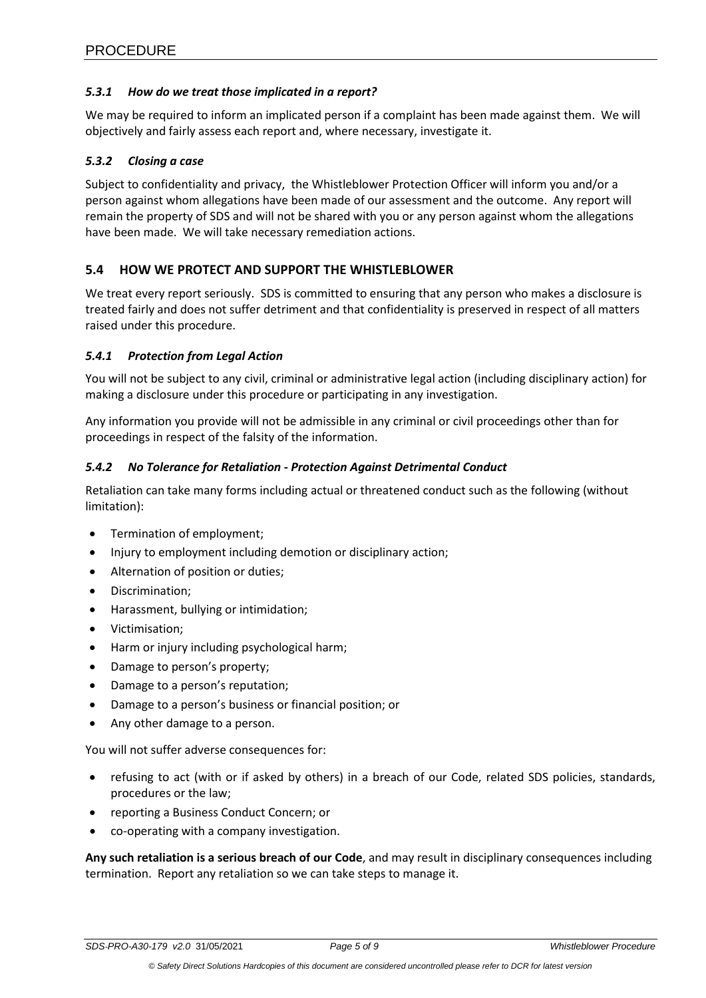### <span id="page-4-0"></span>*5.3.1 How do we treat those implicated in a report?*

We may be required to inform an implicated person if a complaint has been made against them. We will objectively and fairly assess each report and, where necessary, investigate it.

### <span id="page-4-1"></span>*5.3.2 Closing a case*

Subject to confidentiality and privacy, the Whistleblower Protection Officer will inform you and/or a person against whom allegations have been made of our assessment and the outcome. Any report will remain the property of SDS and will not be shared with you or any person against whom the allegations have been made. We will take necessary remediation actions.

### <span id="page-4-2"></span>**5.4 HOW WE PROTECT AND SUPPORT THE WHISTLEBLOWER**

We treat every report seriously. SDS is committed to ensuring that any person who makes a disclosure is treated fairly and does not suffer detriment and that confidentiality is preserved in respect of all matters raised under this procedure.

### <span id="page-4-3"></span>*5.4.1 Protection from Legal Action*

You will not be subject to any civil, criminal or administrative legal action (including disciplinary action) for making a disclosure under this procedure or participating in any investigation.

Any information you provide will not be admissible in any criminal or civil proceedings other than for proceedings in respect of the falsity of the information.

### <span id="page-4-4"></span>*5.4.2 No Tolerance for Retaliation - Protection Against Detrimental Conduct*

Retaliation can take many forms including actual or threatened conduct such as the following (without limitation):

- Termination of employment;
- Injury to employment including demotion or disciplinary action;
- Alternation of position or duties;
- Discrimination;
- Harassment, bullying or intimidation;
- Victimisation;
- Harm or injury including psychological harm;
- Damage to person's property;
- Damage to a person's reputation;
- Damage to a person's business or financial position; or
- Any other damage to a person.

You will not suffer adverse consequences for:

- refusing to act (with or if asked by others) in a breach of our Code, related SDS policies, standards, procedures or the law;
- reporting a Business Conduct Concern; or
- co-operating with a company investigation.

**Any such retaliation is a serious breach of our Code**, and may result in disciplinary consequences including termination. Report any retaliation so we can take steps to manage it.

*SDS-PRO-A30-179 v2.0* 31/05/2021 *Page 5 of 9 Whistleblower Procedure*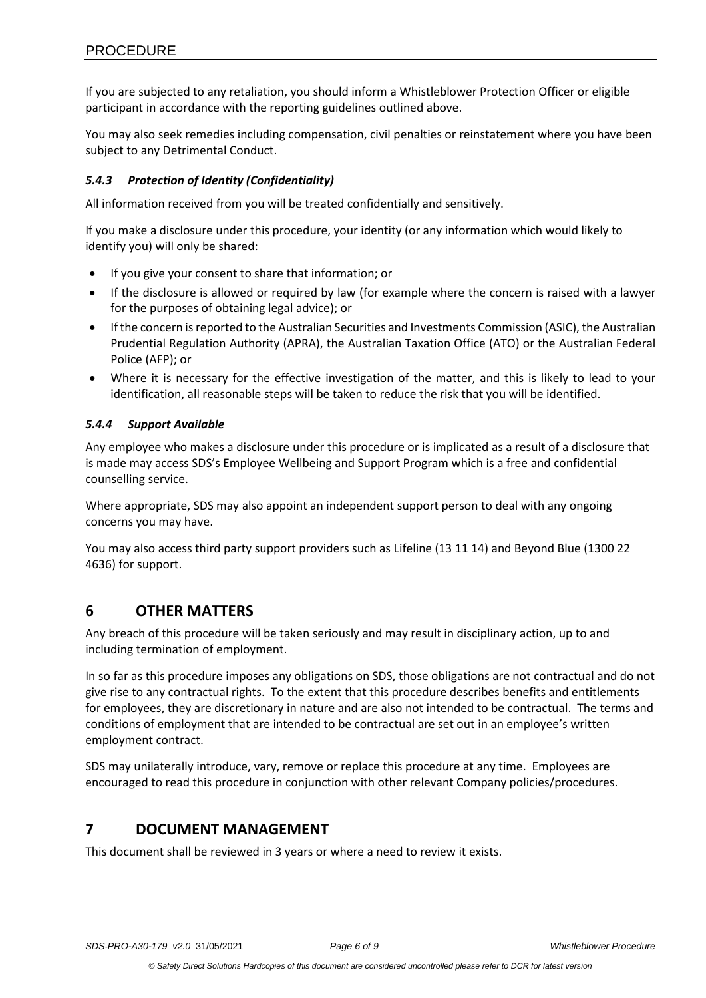If you are subjected to any retaliation, you should inform a Whistleblower Protection Officer or eligible participant in accordance with the reporting guidelines outlined above.

You may also seek remedies including compensation, civil penalties or reinstatement where you have been subject to any Detrimental Conduct.

## <span id="page-5-0"></span>*5.4.3 Protection of Identity (Confidentiality)*

All information received from you will be treated confidentially and sensitively.

If you make a disclosure under this procedure, your identity (or any information which would likely to identify you) will only be shared:

- If you give your consent to share that information; or
- If the disclosure is allowed or required by law (for example where the concern is raised with a lawyer for the purposes of obtaining legal advice); or
- If the concern is reported to the Australian Securities and Investments Commission (ASIC), the Australian Prudential Regulation Authority (APRA), the Australian Taxation Office (ATO) or the Australian Federal Police (AFP); or
- Where it is necessary for the effective investigation of the matter, and this is likely to lead to your identification, all reasonable steps will be taken to reduce the risk that you will be identified.

## <span id="page-5-1"></span>*5.4.4 Support Available*

Any employee who makes a disclosure under this procedure or is implicated as a result of a disclosure that is made may access SDS's Employee Wellbeing and Support Program which is a free and confidential counselling service.

Where appropriate, SDS may also appoint an independent support person to deal with any ongoing concerns you may have.

You may also access third party support providers such as Lifeline (13 11 14) and Beyond Blue (1300 22 4636) for support.

# <span id="page-5-2"></span>**6 OTHER MATTERS**

Any breach of this procedure will be taken seriously and may result in disciplinary action, up to and including termination of employment.

In so far as this procedure imposes any obligations on SDS, those obligations are not contractual and do not give rise to any contractual rights. To the extent that this procedure describes benefits and entitlements for employees, they are discretionary in nature and are also not intended to be contractual. The terms and conditions of employment that are intended to be contractual are set out in an employee's written employment contract.

SDS may unilaterally introduce, vary, remove or replace this procedure at any time. Employees are encouraged to read this procedure in conjunction with other relevant Company policies/procedures.

# <span id="page-5-3"></span>**7 DOCUMENT MANAGEMENT**

This document shall be reviewed in 3 years or where a need to review it exists.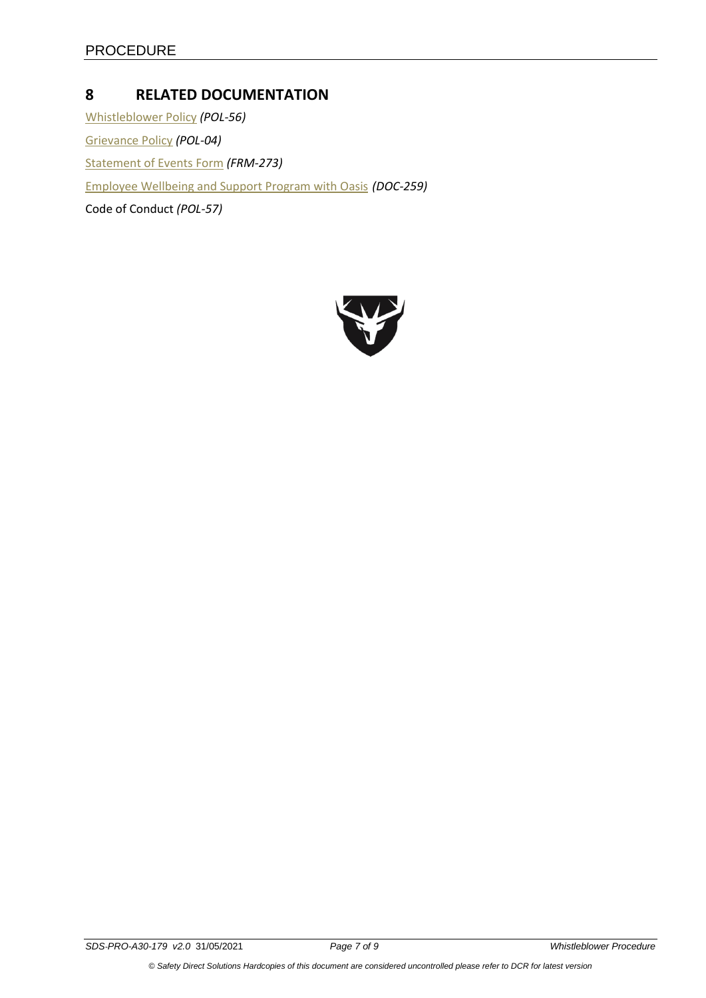# <span id="page-6-0"></span>**8 RELATED DOCUMENTATION**

[Whistleblower Policy](file://///SDSWA-PDC-01/Controlled$/Dept%203%20-%20PEOPLE%20CULTURE/Area%2030%20HR/Policies%20ALL%20&%20HR%20Procedures/Whistleblower%20Policy%20POL-56.pdf) *(POL-56)* [Grievance Policy](file://///SDSWA-PDC-01/Controlled$/Dept%203%20-%20PEOPLE%20CULTURE/Area%2030%20HR/Policies%20ALL%20&%20HR%20Procedures/Grievance%20Policy%20POL-04.pdf) *(POL-04)* [Statement of Events Form](file://///SDSWA-PDC-01/Controlled$/Dept%203%20-%20PEOPLE%20CULTURE/Area%2030%20HR/Statement%20of%20Events%20FRM-273.docx) *(FRM-273)* [Employee Wellbeing and Support Program with Oasis](file://///SDSWA-PDC-01/Controlled$/Dept%203%20-%20PEOPLE%20CULTURE/Area%2030%20HR/Employee%20Wellbeing%20and%20Support%20Program%20with%20Oasis_A5%20Booklet%20%20DOC-259.pdf) *(DOC-259)* Code of Conduct *(POL-57)*

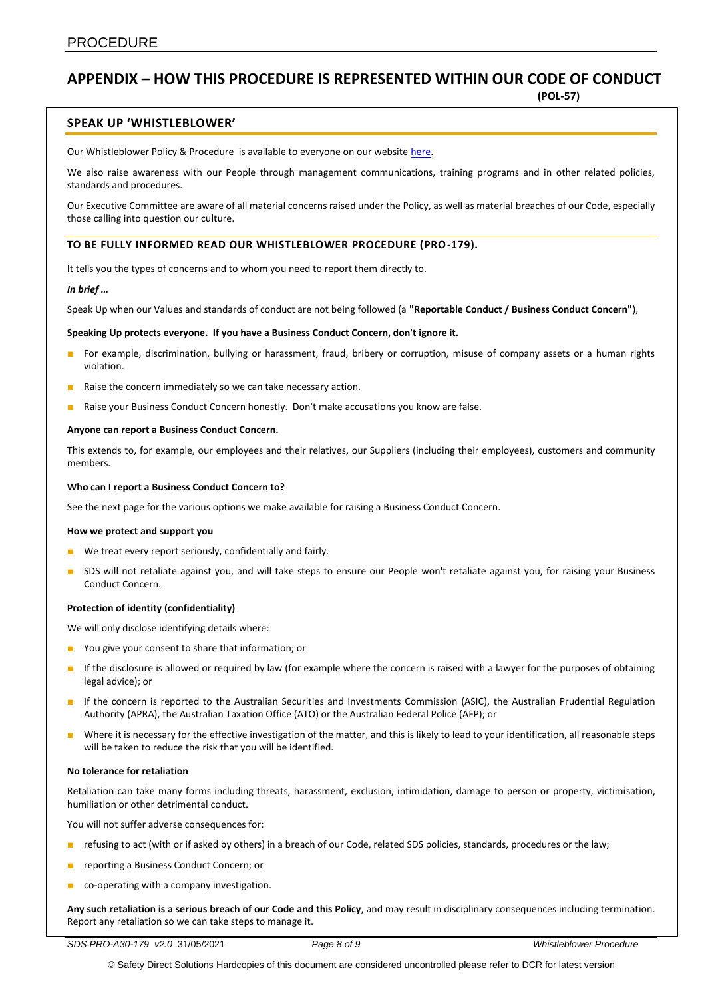# **APPENDIX – HOW THIS PROCEDURE IS REPRESENTED WITHIN OUR CODE OF CONDUCT**

**(POL-57)**

### **SPEAK UP 'WHISTLEBLOWER'**

Our Whistleblower Policy & Procedure is available to everyone on our websit[e here.](http://www.sdsaus.com.au/) 

We also raise awareness with our People through management communications, training programs and in other related policies, standards and procedures.

Our Executive Committee are aware of all material concerns raised under the Policy, as well as material breaches of our Code, especially those calling into question our culture.

### **TO BE FULLY INFORMED READ OUR WHISTLEBLOWER PROCEDURE (PRO-179).**

It tells you the types of concerns and to whom you need to report them directly to.

#### *In brief …*

Speak Up when our Values and standards of conduct are not being followed (a **"Reportable Conduct / Business Conduct Concern"**),

#### **Speaking Up protects everyone. If you have a Business Conduct Concern, don't ignore it.**

- For example, discrimination, bullying or harassment, fraud, bribery or corruption, misuse of company assets or a human rights violation.
- Raise the concern immediately so we can take necessary action.
- Raise your Business Conduct Concern honestly. Don't make accusations you know are false.

#### **Anyone can report a Business Conduct Concern.**

This extends to, for example, our employees and their relatives, our Suppliers (including their employees), customers and community members.

#### **Who can I report a Business Conduct Concern to?**

See the next page for the various options we make available for raising a Business Conduct Concern.

#### **How we protect and support you**

- We treat every report seriously, confidentially and fairly.
- SDS will not retaliate against you, and will take steps to ensure our People won't retaliate against you, for raising your Business Conduct Concern.

#### **Protection of identity (confidentiality)**

We will only disclose identifying details where:

- You give your consent to share that information; or
- If the disclosure is allowed or required by law (for example where the concern is raised with a lawyer for the purposes of obtaining legal advice); or
- If the concern is reported to the Australian Securities and Investments Commission (ASIC), the Australian Prudential Regulation Authority (APRA), the Australian Taxation Office (ATO) or the Australian Federal Police (AFP); or
- Where it is necessary for the effective investigation of the matter, and this is likely to lead to your identification, all reasonable steps will be taken to reduce the risk that you will be identified.

#### **No tolerance for retaliation**

Retaliation can take many forms including threats, harassment, exclusion, intimidation, damage to person or property, victimisation, humiliation or other detrimental conduct.

You will not suffer adverse consequences for:

- refusing to act (with or if asked by others) in a breach of our Code, related SDS policies, standards, procedures or the law;
- reporting a Business Conduct Concern; or
- co-operating with a company investigation.

**Any such retaliation is a serious breach of our Code and this Policy**, and may result in disciplinary consequences including termination. Report any retaliation so we can take steps to manage it.

© Safety Direct Solutions Hardcopies of this document are considered uncontrolled please refer to DCR for latest version